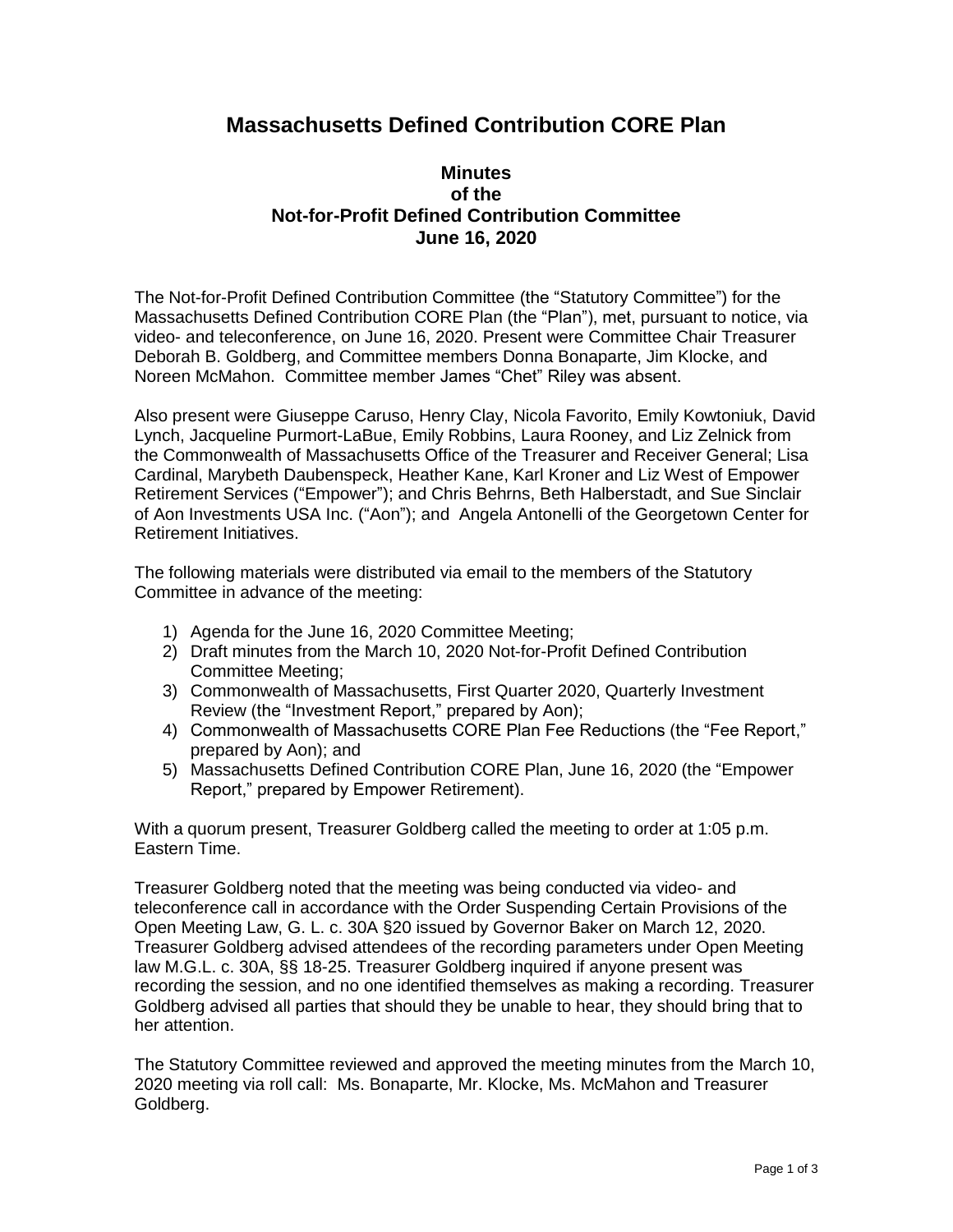## **Massachusetts Defined Contribution CORE Plan**

## **Minutes of the Not-for-Profit Defined Contribution Committee June 16, 2020**

The Not-for-Profit Defined Contribution Committee (the "Statutory Committee") for the Massachusetts Defined Contribution CORE Plan (the "Plan"), met, pursuant to notice, via video- and teleconference, on June 16, 2020. Present were Committee Chair Treasurer Deborah B. Goldberg, and Committee members Donna Bonaparte, Jim Klocke, and Noreen McMahon. Committee member James "Chet" Riley was absent.

Also present were Giuseppe Caruso, Henry Clay, Nicola Favorito, Emily Kowtoniuk, David Lynch, Jacqueline Purmort-LaBue, Emily Robbins, Laura Rooney, and Liz Zelnick from the Commonwealth of Massachusetts Office of the Treasurer and Receiver General; Lisa Cardinal, Marybeth Daubenspeck, Heather Kane, Karl Kroner and Liz West of Empower Retirement Services ("Empower"); and Chris Behrns, Beth Halberstadt, and Sue Sinclair of Aon Investments USA Inc. ("Aon"); and Angela Antonelli of the Georgetown Center for Retirement Initiatives.

The following materials were distributed via email to the members of the Statutory Committee in advance of the meeting:

- 1) Agenda for the June 16, 2020 Committee Meeting;
- 2) Draft minutes from the March 10, 2020 Not-for-Profit Defined Contribution Committee Meeting;
- 3) Commonwealth of Massachusetts, First Quarter 2020, Quarterly Investment Review (the "Investment Report," prepared by Aon);
- 4) Commonwealth of Massachusetts CORE Plan Fee Reductions (the "Fee Report," prepared by Aon); and
- 5) Massachusetts Defined Contribution CORE Plan, June 16, 2020 (the "Empower Report," prepared by Empower Retirement).

With a quorum present, Treasurer Goldberg called the meeting to order at 1:05 p.m. Eastern Time.

Treasurer Goldberg noted that the meeting was being conducted via video- and teleconference call in accordance with the Order Suspending Certain Provisions of the Open Meeting Law, G. L. c. 30A §20 issued by Governor Baker on March 12, 2020. Treasurer Goldberg advised attendees of the recording parameters under Open Meeting law M.G.L. c. 30A, §§ 18-25. Treasurer Goldberg inquired if anyone present was recording the session, and no one identified themselves as making a recording. Treasurer Goldberg advised all parties that should they be unable to hear, they should bring that to her attention.

The Statutory Committee reviewed and approved the meeting minutes from the March 10, 2020 meeting via roll call: Ms. Bonaparte, Mr. Klocke, Ms. McMahon and Treasurer Goldberg.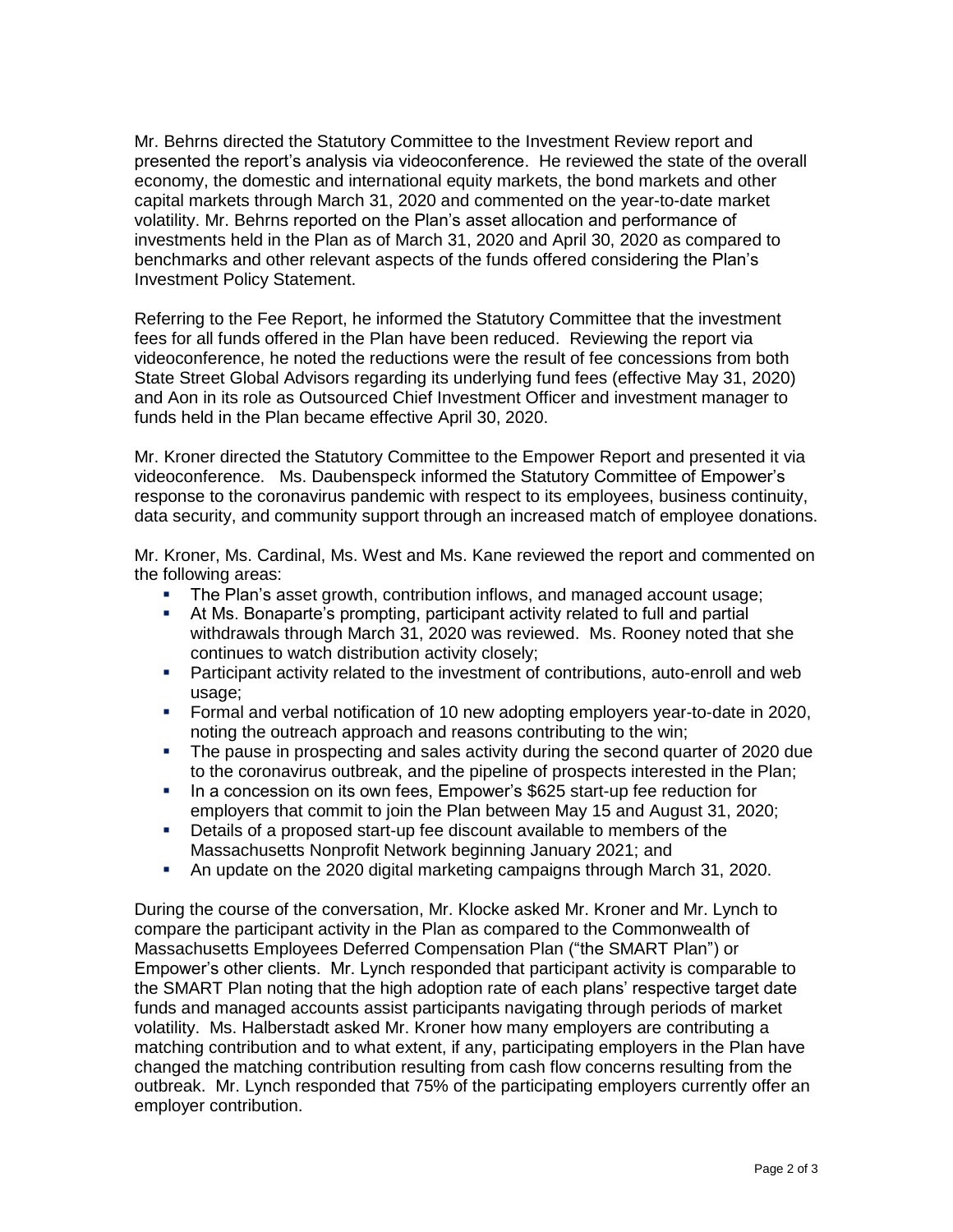Mr. Behrns directed the Statutory Committee to the Investment Review report and presented the report's analysis via videoconference. He reviewed the state of the overall economy, the domestic and international equity markets, the bond markets and other capital markets through March 31, 2020 and commented on the year-to-date market volatility. Mr. Behrns reported on the Plan's asset allocation and performance of investments held in the Plan as of March 31, 2020 and April 30, 2020 as compared to benchmarks and other relevant aspects of the funds offered considering the Plan's Investment Policy Statement.

Referring to the Fee Report, he informed the Statutory Committee that the investment fees for all funds offered in the Plan have been reduced. Reviewing the report via videoconference, he noted the reductions were the result of fee concessions from both State Street Global Advisors regarding its underlying fund fees (effective May 31, 2020) and Aon in its role as Outsourced Chief Investment Officer and investment manager to funds held in the Plan became effective April 30, 2020.

Mr. Kroner directed the Statutory Committee to the Empower Report and presented it via videoconference. Ms. Daubenspeck informed the Statutory Committee of Empower's response to the coronavirus pandemic with respect to its employees, business continuity, data security, and community support through an increased match of employee donations.

Mr. Kroner, Ms. Cardinal, Ms. West and Ms. Kane reviewed the report and commented on the following areas:

- The Plan's asset growth, contribution inflows, and managed account usage;
- At Ms. Bonaparte's prompting, participant activity related to full and partial withdrawals through March 31, 2020 was reviewed. Ms. Rooney noted that she continues to watch distribution activity closely;
- **•** Participant activity related to the investment of contributions, auto-enroll and web usage;
- Formal and verbal notification of 10 new adopting employers year-to-date in 2020, noting the outreach approach and reasons contributing to the win;
- The pause in prospecting and sales activity during the second quarter of 2020 due to the coronavirus outbreak, and the pipeline of prospects interested in the Plan;
- In a concession on its own fees, Empower's \$625 start-up fee reduction for employers that commit to join the Plan between May 15 and August 31, 2020;
- Details of a proposed start-up fee discount available to members of the Massachusetts Nonprofit Network beginning January 2021; and
- An update on the 2020 digital marketing campaigns through March 31, 2020.

During the course of the conversation, Mr. Klocke asked Mr. Kroner and Mr. Lynch to compare the participant activity in the Plan as compared to the Commonwealth of Massachusetts Employees Deferred Compensation Plan ("the SMART Plan") or Empower's other clients. Mr. Lynch responded that participant activity is comparable to the SMART Plan noting that the high adoption rate of each plans' respective target date funds and managed accounts assist participants navigating through periods of market volatility. Ms. Halberstadt asked Mr. Kroner how many employers are contributing a matching contribution and to what extent, if any, participating employers in the Plan have changed the matching contribution resulting from cash flow concerns resulting from the outbreak. Mr. Lynch responded that 75% of the participating employers currently offer an employer contribution.